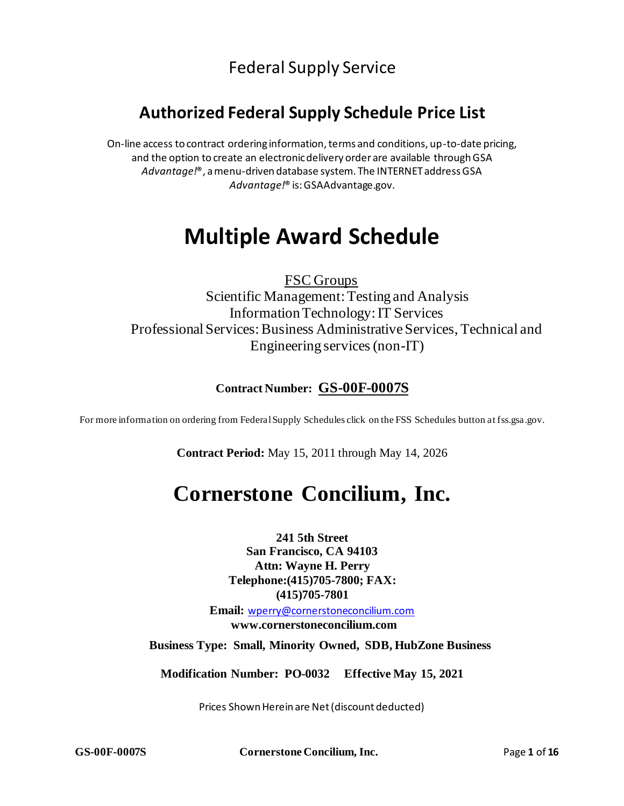## Federal Supply Service

## **Authorized Federal Supply Schedule Price List**

On-line access to contract ordering information, terms and conditions, up-to-date pricing, and the option to create an electronic delivery order are available through GSA *Advantage!*®, a menu-driven database system. The INTERNET address GSA *Advantage!*® is: GSAAdvantage.gov.

## **Multiple Award Schedule**

 FSC Groups Scientific Management: Testing and Analysis Information Technology: IT Services Professional Services: Business Administrative Services, Technical and Engineering services (non-IT)

## **Contract Number: GS-00F-0007S**

For more information on ordering from FederalSupply Schedules click on the FSS Schedules button at fss.gsa.gov.

**Contract Period:** May 15, 2011 through May 14, 2026

## **Cornerstone Concilium, Inc.**

**241 5th Street San Francisco, CA 94103 Attn: Wayne H. Perry Telephone:(415)705-7800; FAX: (415)705-7801**

**Email:** [wperry@cornerstoneconcilium.com](mailto:wperry@cornerstoneconcilium.com) **[www.cornerstoneconcilium.com](http://www.cornerstoneconcilium.com/)**

 **Business Type: Small, Minority Owned, SDB, HubZone Business**

**Modification Number: PO-0032 Effective May 15, 2021**

Prices Shown Herein are Net (discount deducted)

**GS-00F-0007S Cornerstone Concilium, Inc.** Page **1** of **16**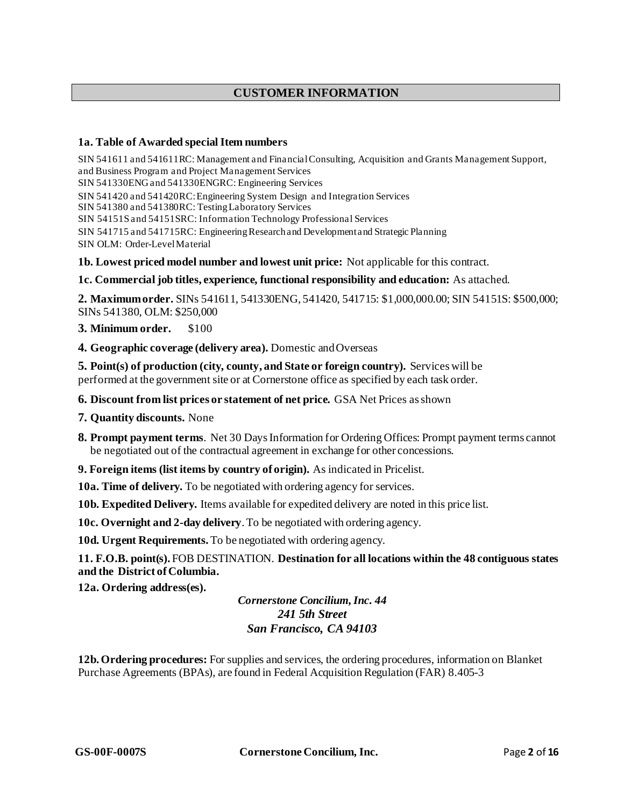## **CUSTOMER INFORMATION**

### **1a. Table of Awarded specialItem numbers**

SIN 541611 and 541611RC: Management and Financial Consulting, Acquisition and Grants Management Support, and Business Program and Project Management Services SIN 541330ENGand 541330ENGRC: Engineering Services SIN 541420 and 541420RC:Engineering System Design and Integration Services SIN 541380 and 541380RC: Testing Laboratory Services SIN 54151Sand 54151SRC: Information Technology Professional Services SIN 541715 and 541715RC: Engineering Research and Development and Strategic Planning SIN OLM: Order-Level Material

**1b. Lowest priced model number and lowest unit price:** Not applicable for this contract.

### **1c. Commercial job titles, experience, functional responsibility and education:** As attached.

**2. Maximumorder.** SINs 541611, 541330ENG, 541420, 541715: \$1,000,000.00; SIN 54151S: \$500,000; SINs 541380, OLM: \$250,000

**3. Minimum order.** \$100

**4. Geographic coverage (delivery area).** Domestic andOverseas

**5. Point(s) of production (city, county, and State or foreign country).** Services will be performed at the government site or at Cornerstone office as specified by each task order.

**6. Discount from list prices or statement of net price.** GSA Net Prices asshown

**7. Quantity discounts.** None

**8. Prompt payment terms**. Net 30 Days Information for Ordering Offices: Prompt payment terms cannot be negotiated out of the contractual agreement in exchange for other concessions.

**9. Foreign items (list items by country of origin).** As indicated in Pricelist.

**10a. Time of delivery.** To be negotiated with ordering agency for services.

**10b. Expedited Delivery.** Items available for expedited delivery are noted in this price list.

**10c. Overnight and 2-day delivery**.To be negotiated with ordering agency.

**10d. Urgent Requirements.** To be negotiated with ordering agency.

**11. F.O.B. point(s).** FOB DESTINATION. **Destination for all locations within the 48 contiguous states and the District ofColumbia.**

**12a. Ordering address(es).**

*Cornerstone Concilium,Inc. 44 241 5th Street San Francisco, CA 94103*

**12b.Ordering procedures:** For supplies and services, the ordering procedures, information on Blanket Purchase Agreements (BPAs), are found in Federal Acquisition Regulation (FAR) 8.405-3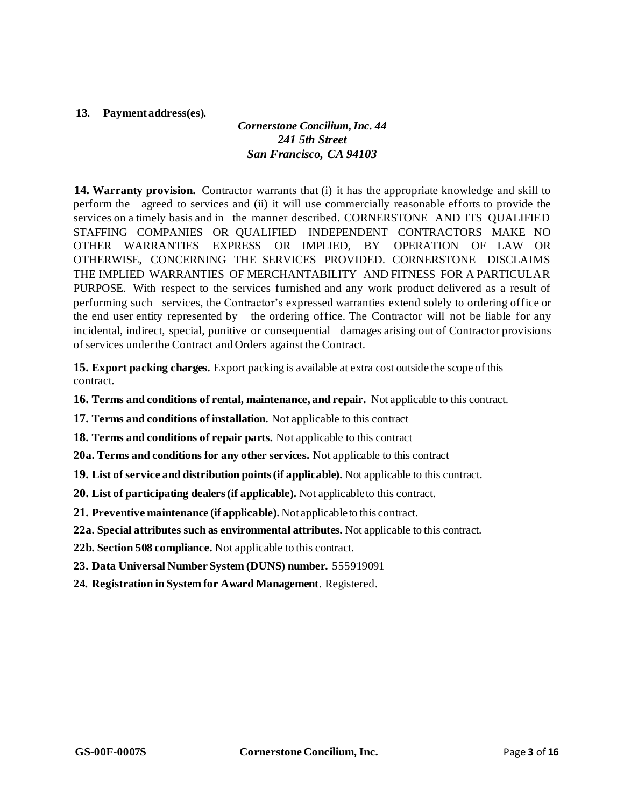## **13. Payment address(es).**

## *Cornerstone Concilium,Inc. 44 241 5th Street San Francisco, CA 94103*

**14. Warranty provision.** Contractor warrants that (i) it has the appropriate knowledge and skill to perform the agreed to services and (ii) it will use commercially reasonable efforts to provide the services on a timely basis and in the manner described. CORNERSTONE AND ITS QUALIFIED STAFFING COMPANIES OR QUALIFIED INDEPENDENT CONTRACTORS MAKE NO OTHER WARRANTIES EXPRESS OR IMPLIED, BY OPERATION OF LAW OR OTHERWISE, CONCERNING THE SERVICES PROVIDED. CORNERSTONE DISCLAIMS THE IMPLIED WARRANTIES OF MERCHANTABILITY AND FITNESS FOR A PARTICULAR PURPOSE. With respect to the services furnished and any work product delivered as a result of performing such services, the Contractor's expressed warranties extend solely to ordering office or the end user entity represented by the ordering office. The Contractor will not be liable for any incidental, indirect, special, punitive or consequential damages arising out of Contractor provisions of services underthe Contract and Orders against the Contract.

**15. Export packing charges.** Export packing is available at extra cost outside the scope of this contract.

**16. Terms and conditions of rental, maintenance, and repair.** Not applicable to this contract.

**17. Terms and conditions of installation.** Not applicable to this contract

**18. Terms and conditions of repair parts.** Not applicable to this contract

**20a. Terms and conditions for any other services.** Not applicable to this contract

**19. List of service and distribution points(if applicable).** Not applicable to this contract.

**20. List of participating dealers(if applicable).** Not applicableto this contract.

**21. Preventive maintenance (if applicable).** Not applicableto this contract.

**22a. Special attributes such as environmental attributes.** Not applicable to this contract.

**22b. Section 508 compliance.** Not applicable to this contract.

**23. Data Universal Number System (DUNS) number.** 555919091

**24. Registration in System for Award Management**. Registered.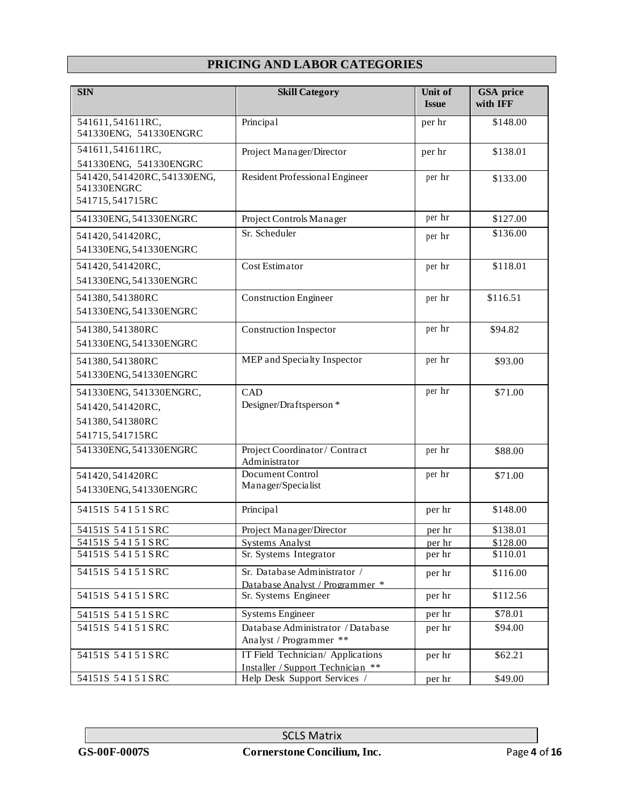## **PRICING AND LABOR CATEGORIES**

| <b>SIN</b>                                                                        | <b>Skill Category</b>                                                  | Unit of<br><b>Issue</b> | <b>GSA</b> price<br>with IFF |
|-----------------------------------------------------------------------------------|------------------------------------------------------------------------|-------------------------|------------------------------|
| 541611,541611RC,<br>541330ENG, 541330ENGRC                                        | Principal                                                              | per hr                  | \$148.00                     |
| 541611,541611RC,<br>541330ENG, 541330ENGRC                                        | Project Manager/Director                                               | per hr                  | \$138.01                     |
| 541420, 541420RC, 541330ENG,<br>541330ENGRC<br>541715,541715RC                    | Resident Professional Engineer                                         | per hr                  | \$133.00                     |
| 541330ENG, 541330ENGRC                                                            | Project Controls Manager                                               | per hr                  | \$127.00                     |
| 541420, 541420RC,<br>541330ENG, 541330ENGRC                                       | Sr. Scheduler                                                          | per hr                  | \$136.00                     |
| 541420,541420RC,<br>541330ENG, 541330ENGRC                                        | Cost Estimator                                                         | per hr                  | \$118.01                     |
| 541380,541380RC<br>541330ENG, 541330ENGRC                                         | <b>Construction Engineer</b>                                           | per hr                  | \$116.51                     |
| 541380,541380RC<br>541330ENG, 541330ENGRC                                         | <b>Construction Inspector</b>                                          | per hr                  | \$94.82                      |
| 541380,541380RC<br>541330ENG, 541330ENGRC                                         | MEP and Specialty Inspector                                            | per hr                  | \$93.00                      |
| 541330ENG, 541330ENGRC,<br>541420,541420RC,<br>541380,541380RC<br>541715,541715RC | CAD<br>Designer/Draftsperson *                                         | per hr                  | \$71.00                      |
| 541330ENG, 541330ENGRC                                                            | Project Coordinator / Contract<br>Administrator                        | per hr                  | \$88.00                      |
| 541420,541420RC<br>541330ENG, 541330ENGRC                                         | Document Control<br>Manager/Specialist                                 | per hr                  | \$71.00                      |
| 54151S 54151SRC                                                                   | Principal                                                              | per hr                  | \$148.00                     |
| 54151S 54151SRC                                                                   | Project Manager/Director                                               | per hr                  | \$138.01                     |
| 54151S 54151SRC                                                                   | <b>Systems Analyst</b>                                                 | per hr                  | \$128.00                     |
| 54151S 54151 SRC                                                                  | Sr. Systems Integrator                                                 | per hr                  | \$110.01                     |
| 54151S 54151SRC                                                                   | Sr. Database Administrator /<br>Database Analyst / Programmer *        | per hr                  | \$116.00                     |
| 54151S 54151SRC                                                                   | Sr. Systems Engineer                                                   | per hr                  | \$112.56                     |
| 54151S 54151 SRC                                                                  | Systems Engineer                                                       | per hr                  | \$78.01                      |
| 54151S 54151SRC                                                                   | Database Administrator / Database<br>Analyst / Programmer **           | per hr                  | \$94.00                      |
| 54151S 54151SRC                                                                   | IT Field Technician/ Applications<br>Installer / Support Technician ** | per hr                  | \$62.21                      |
| 54151S 54151SRC                                                                   | Help Desk Support Services                                             | per hr                  | \$49.00                      |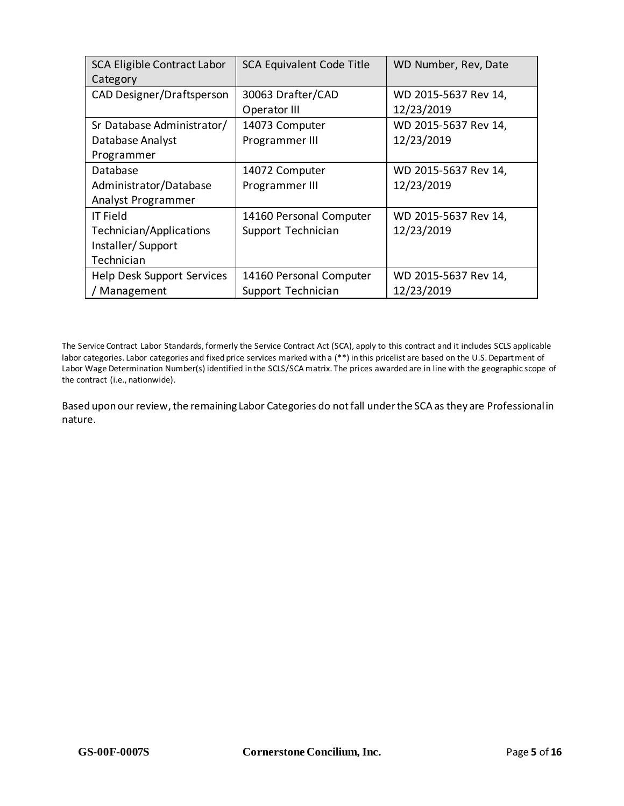| <b>SCA Eligible Contract Labor</b><br>Category | <b>SCA Equivalent Code Title</b> | WD Number, Rev, Date |
|------------------------------------------------|----------------------------------|----------------------|
| CAD Designer/Draftsperson                      | 30063 Drafter/CAD                | WD 2015-5637 Rev 14, |
|                                                | Operator III                     | 12/23/2019           |
| Sr Database Administrator/                     | 14073 Computer                   | WD 2015-5637 Rev 14, |
| Database Analyst                               | Programmer III                   | 12/23/2019           |
| Programmer                                     |                                  |                      |
| Database                                       | 14072 Computer                   | WD 2015-5637 Rev 14, |
| Administrator/Database                         | Programmer III                   | 12/23/2019           |
| Analyst Programmer                             |                                  |                      |
| <b>IT Field</b>                                | 14160 Personal Computer          | WD 2015-5637 Rev 14, |
| Technician/Applications                        | Support Technician               | 12/23/2019           |
| Installer/Support                              |                                  |                      |
| Technician                                     |                                  |                      |
| Help Desk Support Services                     | 14160 Personal Computer          | WD 2015-5637 Rev 14, |
| Management                                     | Support Technician               | 12/23/2019           |

The Service Contract Labor Standards, formerly the Service Contract Act (SCA), apply to this contract and it includes SCLS applicable labor categories. Labor categories and fixed price services marked with a (\*\*) in this pricelist are based on the U.S. Depart ment of Labor Wage Determination Number(s) identified in the SCLS/SCA matrix. The prices awarded are in line with the geographic scope of the contract (i.e., nationwide).

Based upon our review, the remaining Labor Categories do not fall under the SCA as they are Professional in nature.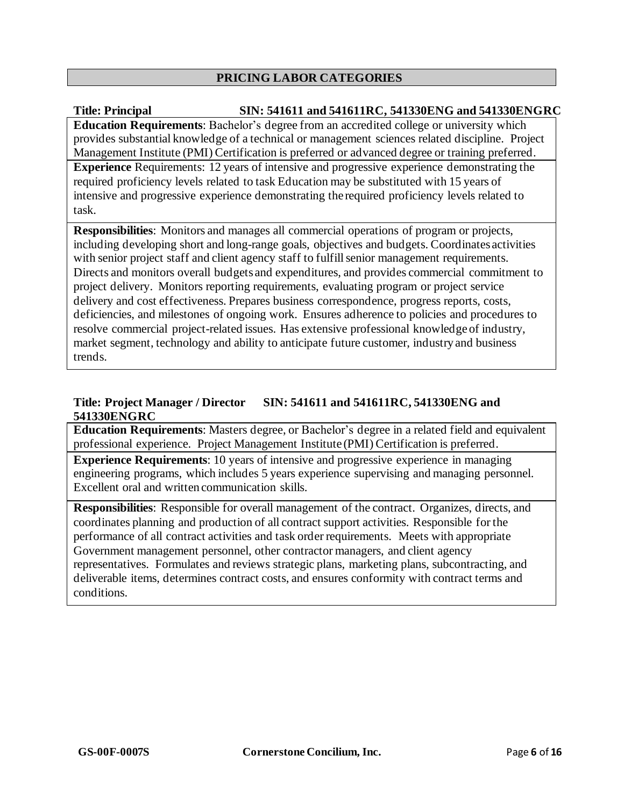## **PRICING LABOR CATEGORIES**

## **Title: Principal SIN: 541611 and 541611RC, 541330ENG and 541330ENGRC**

**Education Requirements**: Bachelor's degree from an accredited college or university which provides substantial knowledge of a technical or management sciences related discipline. Project Management Institute (PMI) Certification is preferred or advanced degree or training preferred. **Experience** Requirements: 12 years of intensive and progressive experience demonstrating the required proficiency levels related to task Education may be substituted with 15 years of intensive and progressive experience demonstrating the required proficiency levels related to task.

**Responsibilities**: Monitors and manages all commercial operations of program or projects, including developing short and long-range goals, objectives and budgets. Coordinates activities with senior project staff and client agency staff to fulfill senior management requirements. Directs and monitors overall budgets and expenditures, and provides commercial commitment to project delivery. Monitors reporting requirements, evaluating program or project service delivery and cost effectiveness. Prepares business correspondence, progress reports, costs, deficiencies, and milestones of ongoing work. Ensures adherence to policies and procedures to resolve commercial project-related issues. Has extensive professional knowledgeof industry, market segment, technology and ability to anticipate future customer, industry and business trends.

## **Title: Project Manager / Director SIN: 541611 and 541611RC, 541330ENG and 541330ENGRC**

**Education Requirements**: Masters degree, or Bachelor's degree in a related field and equivalent professional experience. Project Management Institute (PMI) Certification is preferred.

**Experience Requirements**: 10 years of intensive and progressive experience in managing engineering programs, which includes 5 years experience supervising and managing personnel. Excellent oral and written communication skills.

**Responsibilities**: Responsible for overall management of the contract. Organizes, directs, and coordinates planning and production of all contract support activities. Responsible for the performance of all contract activities and task order requirements. Meets with appropriate Government management personnel, other contractor managers, and client agency representatives. Formulates and reviews strategic plans, marketing plans, subcontracting, and deliverable items, determines contract costs, and ensures conformity with contract terms and conditions.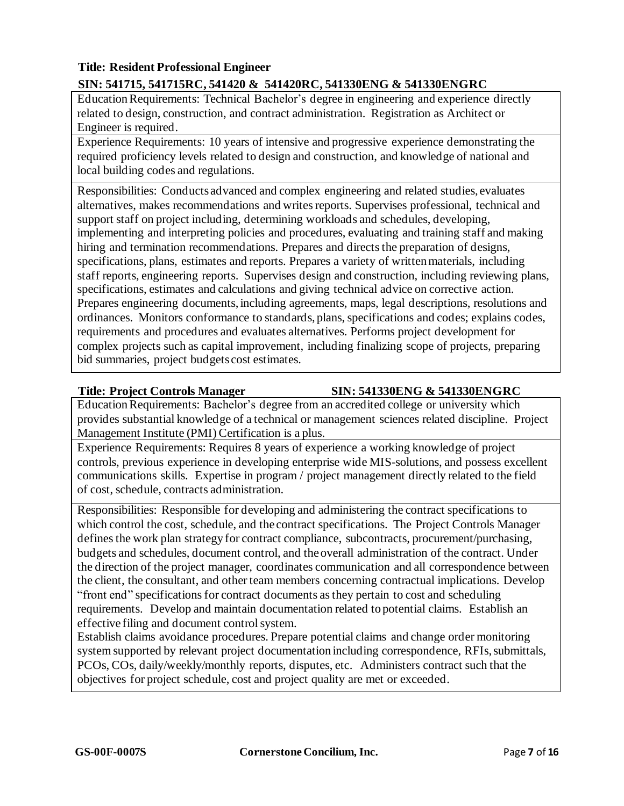## **Title: Resident Professional Engineer SIN: 541715, 541715RC, 541420 & 541420RC, 541330ENG & 541330ENGRC**

EducationRequirements: Technical Bachelor's degree in engineering and experience directly related to design, construction, and contract administration. Registration as Architect or Engineer is required.

Experience Requirements: 10 years of intensive and progressive experience demonstrating the required proficiency levels related to design and construction, and knowledge of national and local building codes and regulations.

Responsibilities: Conducts advanced and complex engineering and related studies, evaluates alternatives, makes recommendations and writes reports. Supervises professional, technical and support staff on project including, determining workloads and schedules, developing, implementing and interpreting policies and procedures, evaluating and training staff and making hiring and termination recommendations. Prepares and directs the preparation of designs, specifications, plans, estimates and reports. Prepares a variety of written materials, including staff reports, engineering reports. Supervises design and construction, including reviewing plans, specifications, estimates and calculations and giving technical advice on corrective action. Prepares engineering documents, including agreements, maps, legal descriptions, resolutions and ordinances. Monitors conformance to standards, plans, specifications and codes; explains codes, requirements and procedures and evaluates alternatives. Performs project development for complex projects such as capital improvement, including finalizing scope of projects, preparing bid summaries, project budgets cost estimates.

## **Title: Project Controls Manager SIN: 541330ENG & 541330ENGRC**

EducationRequirements: Bachelor's degree from an accredited college or university which provides substantial knowledge of a technical or management sciences related discipline. Project Management Institute (PMI) Certification is a plus.

Experience Requirements: Requires 8 years of experience a working knowledge of project controls, previous experience in developing enterprise wide MIS-solutions, and possess excellent communications skills. Expertise in program / project management directly related to the field of cost, schedule, contracts administration.

Responsibilities: Responsible for developing and administering the contract specifications to which control the cost, schedule, and the contract specifications. The Project Controls Manager defines the work plan strategy for contract compliance, subcontracts, procurement/purchasing, budgets and schedules, document control, and theoverall administration of the contract. Under the direction of the project manager, coordinates communication and all correspondence between the client, the consultant, and other team members concerning contractual implications. Develop "front end" specifications for contract documents as they pertain to cost and scheduling requirements. Develop and maintain documentation related topotential claims. Establish an effective filing and document control system.

Establish claims avoidance procedures. Prepare potential claims and change order monitoring system supported by relevant project documentation including correspondence, RFIs, submittals, PCOs, COs, daily/weekly/monthly reports, disputes, etc. Administers contract such that the objectives for project schedule, cost and project quality are met or exceeded.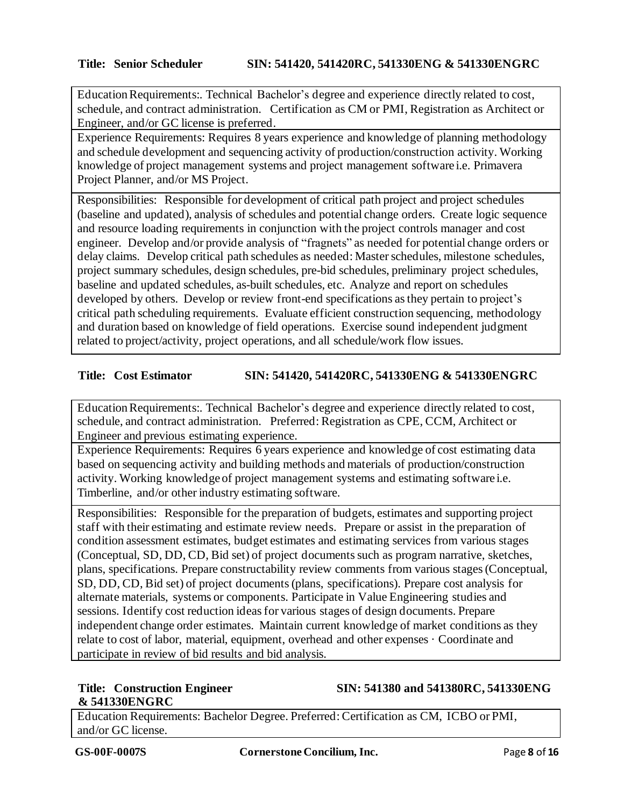EducationRequirements:. Technical Bachelor's degree and experience directly related to cost, schedule, and contract administration. Certification as CM or PMI, Registration as Architect or Engineer, and/or GC license is preferred.

Experience Requirements: Requires 8 years experience and knowledge of planning methodology and schedule development and sequencing activity of production/construction activity. Working knowledge of project management systems and project management software i.e. Primavera Project Planner, and/or MS Project.

Responsibilities: Responsible for development of critical path project and project schedules (baseline and updated), analysis of schedules and potential change orders. Create logic sequence and resource loading requirements in conjunction with the project controls manager and cost engineer. Develop and/or provide analysis of "fragnets" as needed for potential change orders or delay claims. Develop critical path schedules as needed: Masterschedules, milestone schedules, project summary schedules, design schedules, pre-bid schedules, preliminary project schedules, baseline and updated schedules, as-built schedules, etc. Analyze and report on schedules developed by others. Develop or review front-end specifications asthey pertain to project's critical path scheduling requirements. Evaluate efficient construction sequencing, methodology and duration based on knowledge of field operations. Exercise sound independent judgment related to project/activity, project operations, and all schedule/work flow issues.

## **Title: Cost Estimator SIN: 541420, 541420RC, 541330ENG & 541330ENGRC**

EducationRequirements:. Technical Bachelor's degree and experience directly related to cost, schedule, and contract administration. Preferred: Registration as CPE, CCM, Architect or Engineer and previous estimating experience.

Experience Requirements: Requires 6 years experience and knowledge of cost estimating data based on sequencing activity and building methods and materials of production/construction activity. Working knowledge of project management systems and estimating software i.e. Timberline, and/or other industry estimating software.

Responsibilities: Responsible for the preparation of budgets, estimates and supporting project staff with their estimating and estimate review needs. Prepare or assist in the preparation of condition assessment estimates, budget estimates and estimating services from various stages (Conceptual, SD, DD, CD, Bid set) of project documents such as program narrative, sketches, plans, specifications. Prepare constructability review comments from various stages(Conceptual, SD, DD, CD, Bid set) of project documents(plans, specifications). Prepare cost analysis for alternate materials, systems or components. Participate in Value Engineering studies and sessions. Identify cost reduction ideasfor various stages of design documents. Prepare independent change order estimates. Maintain current knowledge of market conditions as they relate to cost of labor, material, equipment, overhead and other expenses · Coordinate and participate in review of bid results and bid analysis.

# **& 541330ENGRC**

## **Title: Construction Engineer SIN: 541380 and 541380RC, 541330ENG**

Education Requirements: Bachelor Degree. Preferred: Certification as CM, ICBO or PMI, and/or GC license.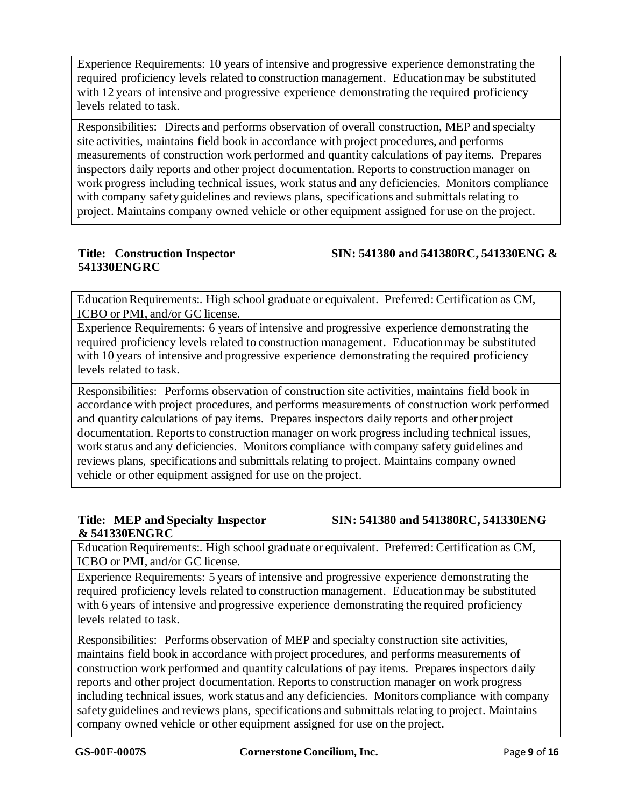Experience Requirements: 10 years of intensive and progressive experience demonstrating the required proficiency levels related to construction management. Educationmay be substituted with 12 years of intensive and progressive experience demonstrating the required proficiency levels related to task.

Responsibilities: Directs and performs observation of overall construction, MEP and specialty site activities, maintains field book in accordance with project procedures, and performs measurements of construction work performed and quantity calculations of pay items. Prepares inspectors daily reports and other project documentation. Reports to construction manager on work progress including technical issues, work status and any deficiencies. Monitors compliance with company safety guidelines and reviews plans, specifications and submittals relating to project. Maintains company owned vehicle or other equipment assigned for use on the project.

# **541330ENGRC**

**Title: Construction Inspector SIN: 541380 and 541380RC, 541330ENG &** 

Education Requirements:. High school graduate or equivalent. Preferred: Certification as CM, ICBO or PMI, and/or GC license.

Experience Requirements: 6 years of intensive and progressive experience demonstrating the required proficiency levels related to construction management. Educationmay be substituted with 10 years of intensive and progressive experience demonstrating the required proficiency levels related to task.

Responsibilities: Performs observation of construction site activities, maintains field book in accordance with project procedures, and performs measurements of construction work performed and quantity calculations of pay items. Prepares inspectors daily reports and other project documentation. Reports to construction manager on work progress including technical issues, work status and any deficiencies. Monitors compliance with company safety guidelines and reviews plans, specifications and submittals relating to project. Maintains company owned vehicle or other equipment assigned for use on the project.

# **& 541330ENGRC**

**Title: MEP and Specialty Inspector SIN: 541380 and 541380RC, 541330ENG**

EducationRequirements:. High school graduate or equivalent. Preferred: Certification as CM, ICBO or PMI, and/or GC license.

Experience Requirements: 5 years of intensive and progressive experience demonstrating the required proficiency levels related to construction management. Educationmay be substituted with 6 years of intensive and progressive experience demonstrating the required proficiency levels related to task.

Responsibilities: Performs observation of MEP and specialty construction site activities, maintains field book in accordance with project procedures, and performs measurements of construction work performed and quantity calculations of pay items. Prepares inspectors daily reports and other project documentation. Reports to construction manager on work progress including technical issues, work status and any deficiencies. Monitors compliance with company safety guidelines and reviews plans, specifications and submittals relating to project. Maintains company owned vehicle or other equipment assigned for use on the project.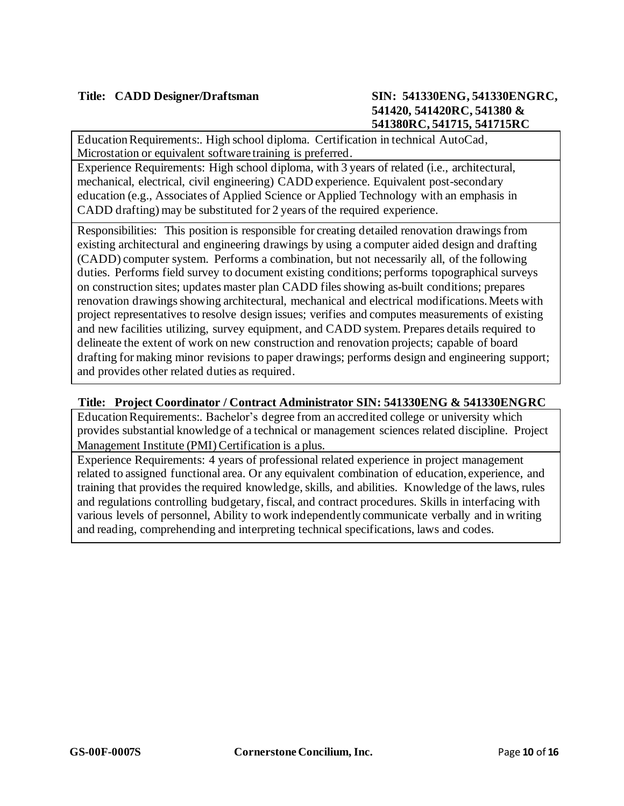EducationRequirements:. High school diploma. Certification in technical AutoCad, Microstation or equivalent software training is preferred.

Experience Requirements: High school diploma, with 3 years of related (i.e., architectural, mechanical, electrical, civil engineering) CADD experience. Equivalent post-secondary education (e.g., Associates of Applied Science or Applied Technology with an emphasis in CADD drafting) may be substituted for 2 years of the required experience.

Responsibilities: This position is responsible for creating detailed renovation drawings from existing architectural and engineering drawings by using a computer aided design and drafting (CADD) computer system. Performs a combination, but not necessarily all, of the following duties. Performs field survey to document existing conditions; performs topographical surveys on construction sites; updates master plan CADD filesshowing as-built conditions; prepares renovation drawingsshowing architectural, mechanical and electrical modifications.Meets with project representatives to resolve design issues; verifies and computes measurements of existing and new facilities utilizing, survey equipment, and CADD system. Prepares details required to delineate the extent of work on new construction and renovation projects; capable of board drafting for making minor revisions to paper drawings; performs design and engineering support; and provides other related duties as required.

## **Title: Project Coordinator / Contract Administrator SIN: 541330ENG & 541330ENGRC**

EducationRequirements:. Bachelor's degree from an accredited college or university which provides substantial knowledge of a technical or management sciences related discipline. Project Management Institute (PMI) Certification is a plus.

Experience Requirements: 4 years of professional related experience in project management related to assigned functional area. Or any equivalent combination of education, experience, and training that provides the required knowledge, skills, and abilities. Knowledge of the laws, rules and regulations controlling budgetary, fiscal, and contract procedures. Skills in interfacing with various levels of personnel, Ability to work independently communicate verbally and in writing and reading, comprehending and interpreting technical specifications, laws and codes.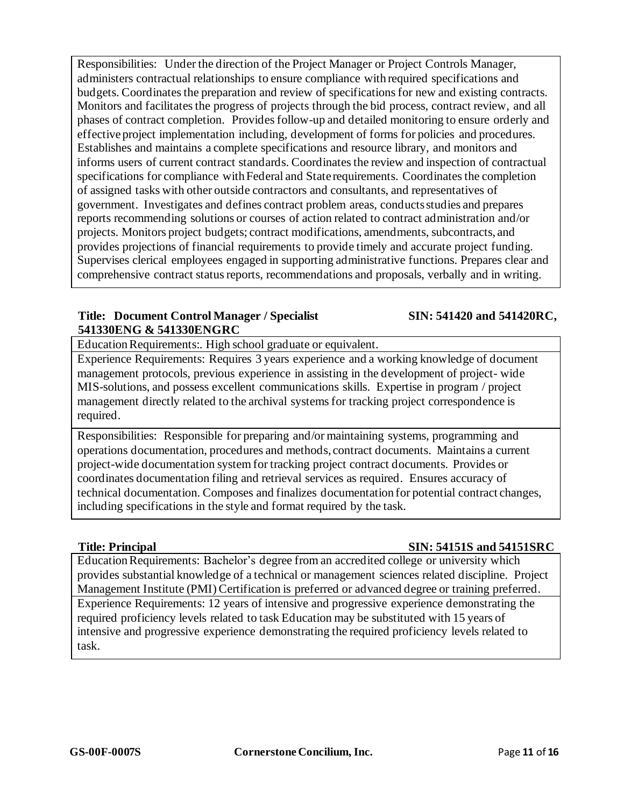Responsibilities: Under the direction of the Project Manager or Project Controls Manager, administers contractual relationships to ensure compliance with required specifications and budgets. Coordinates the preparation and review of specifications for new and existing contracts. Monitors and facilitates the progress of projects through the bid process, contract review, and all phases of contract completion. Providesfollow-up and detailed monitoring to ensure orderly and effective project implementation including, development of forms for policies and procedures. Establishes and maintains a complete specifications and resource library, and monitors and informs users of current contract standards. Coordinates the review and inspection of contractual specifications for compliance with Federal and State requirements. Coordinates the completion of assigned tasks with other outside contractors and consultants, and representatives of government. Investigates and defines contract problem areas, conductsstudies and prepares reports recommending solutions or courses of action related to contract administration and/or projects. Monitors project budgets; contract modifications, amendments, subcontracts, and provides projections of financial requirements to provide timely and accurate project funding. Supervises clerical employees engaged in supporting administrative functions. Prepares clear and comprehensive contract status reports, recommendations and proposals, verbally and in writing.

## **Title: Document Control Manager / Specialist SIN: 541420 and 541420RC, 541330ENG & 541330ENGRC**

Education Requirements:. High school graduate or equivalent.

Experience Requirements: Requires 3 years experience and a working knowledge of document management protocols, previous experience in assisting in the development of project- wide MIS-solutions, and possess excellent communications skills. Expertise in program / project management directly related to the archival systemsfor tracking project correspondence is required.

Responsibilities: Responsible for preparing and/or maintaining systems, programming and operations documentation, procedures and methods, contract documents. Maintains a current project-wide documentation system for tracking project contract documents. Provides or coordinates documentation filing and retrieval services as required. Ensures accuracy of technical documentation. Composes and finalizes documentation for potential contract changes, including specifications in the style and format required by the task.

## **Title: Principal SIN: 54151S and 54151SRC**

EducationRequirements: Bachelor's degree from an accredited college or university which provides substantial knowledge of a technical or management sciences related discipline. Project Management Institute (PMI) Certification is preferred or advanced degree or training preferred. Experience Requirements: 12 years of intensive and progressive experience demonstrating the required proficiency levels related to task Education may be substituted with 15 years of intensive and progressive experience demonstrating the required proficiency levels related to task.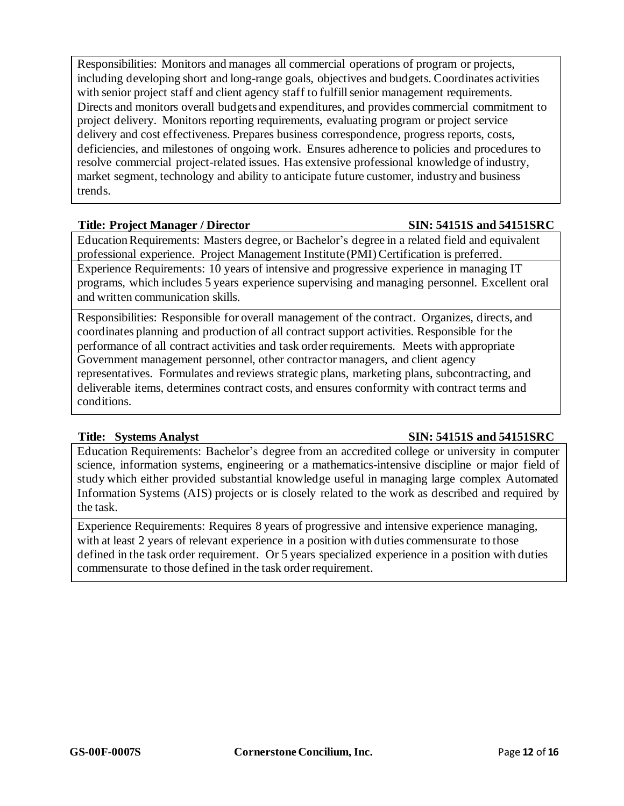Responsibilities: Monitors and manages all commercial operations of program or projects, including developing short and long-range goals, objectives and budgets. Coordinates activities with senior project staff and client agency staff to fulfill senior management requirements. Directs and monitors overall budgets and expenditures, and provides commercial commitment to project delivery. Monitors reporting requirements, evaluating program or project service delivery and cost effectiveness. Prepares business correspondence, progress reports, costs, deficiencies, and milestones of ongoing work. Ensures adherence to policies and procedures to resolve commercial project-related issues. Has extensive professional knowledge of industry, market segment, technology and ability to anticipate future customer, industry and business trends.

## **Title: Project Manager / Director SIN: 54151S and 54151SRC**

EducationRequirements: Masters degree, or Bachelor's degree in a related field and equivalent professional experience. Project Management Institute (PMI) Certification is preferred. Experience Requirements: 10 years of intensive and progressive experience in managing IT programs, which includes 5 years experience supervising and managing personnel. Excellent oral and written communication skills.

Responsibilities: Responsible for overall management of the contract. Organizes, directs, and coordinates planning and production of all contract support activities. Responsible for the performance of all contract activities and task order requirements. Meets with appropriate Government management personnel, other contractor managers, and client agency representatives. Formulates and reviews strategic plans, marketing plans, subcontracting, and deliverable items, determines contract costs, and ensures conformity with contract terms and conditions.

## **Title: Systems Analyst SIN: 54151S and 54151SRC**

Education Requirements: Bachelor's degree from an accredited college or university in computer science, information systems, engineering or a mathematics-intensive discipline or major field of study which either provided substantial knowledge useful in managing large complex Automated Information Systems (AIS) projects or is closely related to the work as described and required by the task.

Experience Requirements: Requires 8 years of progressive and intensive experience managing, with at least 2 years of relevant experience in a position with duties commensurate to those defined in the task order requirement. Or 5 years specialized experience in a position with duties commensurate to those defined in the task order requirement.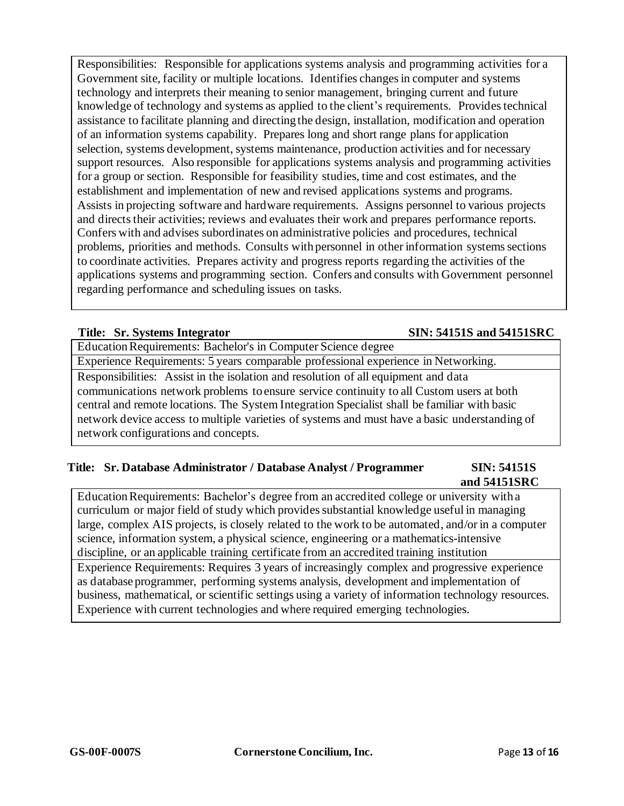Responsibilities: Responsible for applications systems analysis and programming activities for a Government site, facility or multiple locations. Identifies changes in computer and systems technology and interprets their meaning to senior management, bringing current and future knowledge of technology and systems as applied to the client's requirements. Provides technical assistance to facilitate planning and directing the design, installation, modification and operation of an information systems capability. Prepares long and short range plans for application selection, systems development, systems maintenance, production activities and for necessary support resources. Also responsible for applications systems analysis and programming activities for a group or section. Responsible for feasibility studies, time and cost estimates, and the establishment and implementation of new and revised applications systems and programs. Assists in projecting software and hardware requirements. Assigns personnel to various projects and directs their activities; reviews and evaluates their work and prepares performance reports. Confers with and advises subordinates on administrative policies and procedures, technical problems, priorities and methods. Consults with personnel in other information systems sections to coordinate activities. Prepares activity and progress reports regarding the activities of the applications systems and programming section. Confers and consults with Government personnel regarding performance and scheduling issues on tasks.

### **Title: Sr. Systems Integrator SIN: 54151S and 54151SRC**

EducationRequirements: Bachelor's in Computer Science degree Experience Requirements: 5 years comparable professional experience in Networking. Responsibilities: Assist in the isolation and resolution of all equipment and data communications network problems to ensure service continuity to all Custom users at both central and remote locations. The System Integration Specialist shall be familiar with basic network device access to multiple varieties of systems and must have a basic understanding of network configurations and concepts.

### **Title: Sr. Database Administrator / Database Analyst / Programmer SIN: 54151S and 54151SRC**

EducationRequirements: Bachelor's degree from an accredited college or university with a curriculum or major field of study which provides substantial knowledge useful in managing large, complex AIS projects, is closely related to the work to be automated, and/or in a computer science, information system, a physical science, engineering or a mathematics-intensive discipline, or an applicable training certificate from an accredited training institution

Experience Requirements: Requires 3 years of increasingly complex and progressive experience as database programmer, performing systems analysis, development and implementation of business, mathematical, or scientific settings using a variety of information technology resources. Experience with current technologies and where required emerging technologies.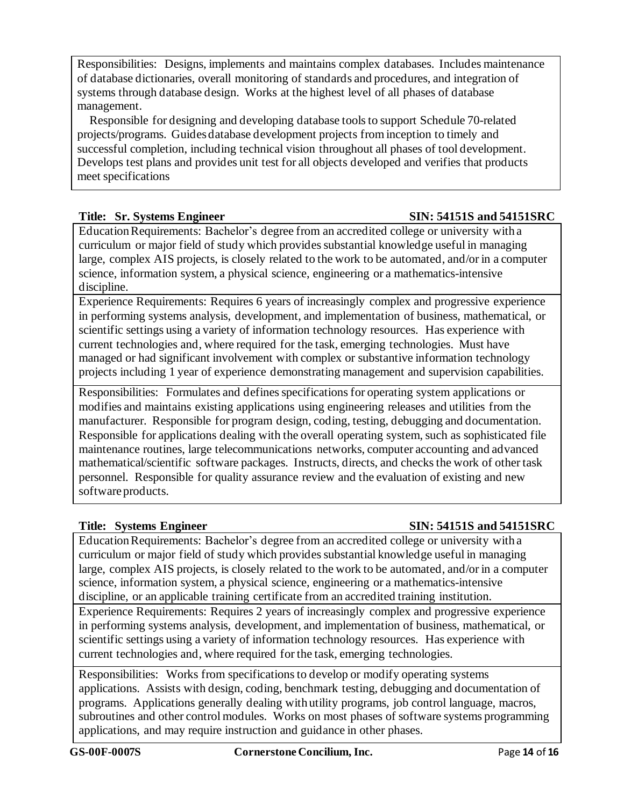Responsibilities: Designs, implements and maintains complex databases. Includes maintenance of database dictionaries, overall monitoring of standards and procedures, and integration of systems through database design. Works at the highest level of all phases of database management.

Responsible for designing and developing database toolsto support Schedule 70-related projects/programs. Guidesdatabase development projects from inception to timely and successful completion, including technical vision throughout all phases of tool development. Develops test plans and provides unit test for all objects developed and verifies that products meet specifications

## **Title: Sr. Systems Engineer SIN: 54151S and 54151SRC**

EducationRequirements: Bachelor's degree from an accredited college or university with a curriculum or major field of study which provides substantial knowledge useful in managing large, complex AIS projects, is closely related to the work to be automated, and/or in a computer science, information system, a physical science, engineering or a mathematics-intensive discipline.

Experience Requirements: Requires 6 years of increasingly complex and progressive experience in performing systems analysis, development, and implementation of business, mathematical, or scientific settings using a variety of information technology resources. Has experience with current technologies and, where required for the task, emerging technologies. Must have managed or had significant involvement with complex or substantive information technology projects including 1 year of experience demonstrating management and supervision capabilities.

Responsibilities: Formulates and defines specifications for operating system applications or modifies and maintains existing applications using engineering releases and utilities from the manufacturer. Responsible for program design, coding, testing, debugging and documentation. Responsible for applications dealing with the overall operating system, such as sophisticated file maintenance routines, large telecommunications networks, computer accounting and advanced mathematical/scientific software packages. Instructs, directs, and checks the work of other task personnel. Responsible for quality assurance review and the evaluation of existing and new software products.

## **Title: Systems Engineer SIN: 54151S and 54151SRC**

EducationRequirements: Bachelor's degree from an accredited college or university with a curriculum or major field of study which provides substantial knowledge useful in managing large, complex AIS projects, is closely related to the work to be automated, and/or in a computer science, information system, a physical science, engineering or a mathematics-intensive discipline, or an applicable training certificate from an accredited training institution.

Experience Requirements: Requires 2 years of increasingly complex and progressive experience in performing systems analysis, development, and implementation of business, mathematical, or scientific settings using a variety of information technology resources. Has experience with current technologies and, where required for the task, emerging technologies.

Responsibilities: Works from specificationsto develop or modify operating systems applications. Assists with design, coding, benchmark testing, debugging and documentation of programs. Applications generally dealing with utility programs, job control language, macros, subroutines and other control modules. Works on most phases of software systems programming applications, and may require instruction and guidance in other phases.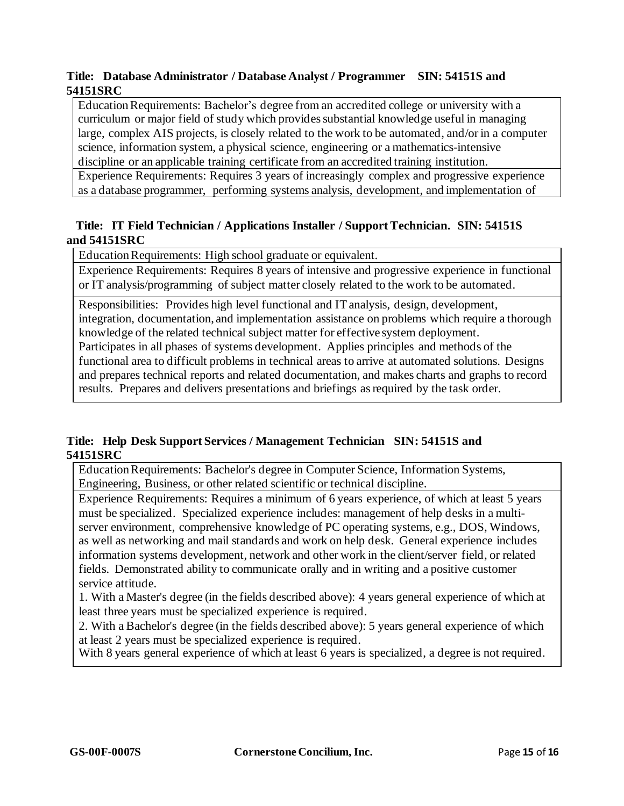## **Title: Database Administrator / Database Analyst / Programmer SIN: 54151S and 54151SRC**

EducationRequirements: Bachelor's degree from an accredited college or university with a curriculum or major field of study which provides substantial knowledge useful in managing large, complex AIS projects, is closely related to the work to be automated, and/orin a computer science, information system, a physical science, engineering or a mathematics-intensive discipline or an applicable training certificate from an accredited training institution.

Experience Requirements: Requires 3 years of increasingly complex and progressive experience as a database programmer, performing systems analysis, development, and implementation of

## **Title: IT Field Technician / Applications Installer / Support Technician. SIN: 54151S and 54151SRC**

Education Requirements: High school graduate or equivalent.

Experience Requirements: Requires 8 years of intensive and progressive experience in functional or IT analysis/programming of subject matter closely related to the work to be automated.

Responsibilities: Provides high level functional and ITanalysis, design, development, integration, documentation, and implementation assistance on problems which require a thorough knowledge of the related technical subject matter for effective system deployment. Participates in all phases of systems development. Applies principles and methods of the functional area to difficult problems in technical areas to arrive at automated solutions. Designs and prepares technical reports and related documentation, and makes charts and graphs to record results. Prepares and delivers presentations and briefings as required by the task order.

## **Title: Help Desk Support Services / Management Technician SIN: 54151S and 54151SRC**

EducationRequirements: Bachelor's degree in Computer Science, Information Systems, Engineering, Business, or other related scientific or technical discipline.

Experience Requirements: Requires a minimum of 6 years experience, of which at least 5 years must be specialized. Specialized experience includes: management of help desks in a multiserver environment, comprehensive knowledge of PC operating systems, e.g., DOS, Windows, as well as networking and mail standards and work on help desk. General experience includes information systems development, network and other work in the client/server field, or related fields. Demonstrated ability to communicate orally and in writing and a positive customer service attitude.

1. With a Master's degree (in the fields described above): 4 years general experience of which at least three years must be specialized experience is required.

2. With a Bachelor's degree (in the fields described above): 5 years general experience of which at least 2 years must be specialized experience is required.

With 8 years general experience of which at least 6 years is specialized, a degree is not required.